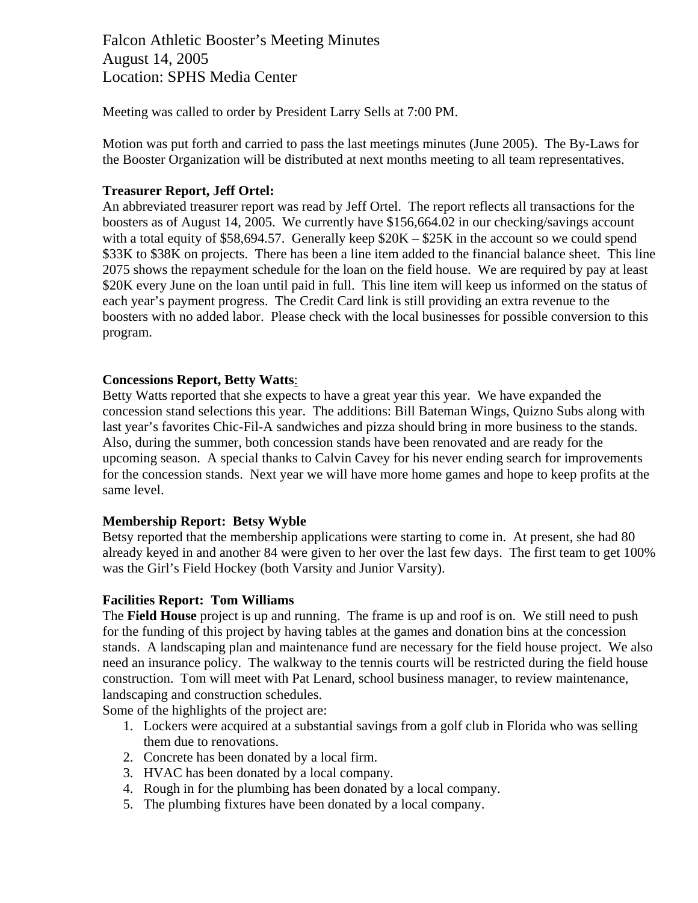Falcon Athletic Booster's Meeting Minutes August 14, 2005 Location: SPHS Media Center

Meeting was called to order by President Larry Sells at 7:00 PM.

Motion was put forth and carried to pass the last meetings minutes (June 2005). The By-Laws for the Booster Organization will be distributed at next months meeting to all team representatives.

### **Treasurer Report, Jeff Ortel:**

An abbreviated treasurer report was read by Jeff Ortel. The report reflects all transactions for the boosters as of August 14, 2005. We currently have \$156,664.02 in our checking/savings account with a total equity of \$58,694.57. Generally keep  $$20K - $25K$  in the account so we could spend \$33K to \$38K on projects. There has been a line item added to the financial balance sheet. This line 2075 shows the repayment schedule for the loan on the field house. We are required by pay at least \$20K every June on the loan until paid in full. This line item will keep us informed on the status of each year's payment progress. The Credit Card link is still providing an extra revenue to the boosters with no added labor. Please check with the local businesses for possible conversion to this program.

### **Concessions Report, Betty Watts**:

Betty Watts reported that she expects to have a great year this year. We have expanded the concession stand selections this year. The additions: Bill Bateman Wings, Quizno Subs along with last year's favorites Chic-Fil-A sandwiches and pizza should bring in more business to the stands. Also, during the summer, both concession stands have been renovated and are ready for the upcoming season. A special thanks to Calvin Cavey for his never ending search for improvements for the concession stands. Next year we will have more home games and hope to keep profits at the same level.

#### **Membership Report: Betsy Wyble**

Betsy reported that the membership applications were starting to come in. At present, she had 80 already keyed in and another 84 were given to her over the last few days. The first team to get 100% was the Girl's Field Hockey (both Varsity and Junior Varsity).

#### **Facilities Report: Tom Williams**

The **Field House** project is up and running. The frame is up and roof is on. We still need to push for the funding of this project by having tables at the games and donation bins at the concession stands. A landscaping plan and maintenance fund are necessary for the field house project. We also need an insurance policy. The walkway to the tennis courts will be restricted during the field house construction. Tom will meet with Pat Lenard, school business manager, to review maintenance, landscaping and construction schedules.

Some of the highlights of the project are:

- 1. Lockers were acquired at a substantial savings from a golf club in Florida who was selling them due to renovations.
- 2. Concrete has been donated by a local firm.
- 3. HVAC has been donated by a local company.
- 4. Rough in for the plumbing has been donated by a local company.
- 5. The plumbing fixtures have been donated by a local company.